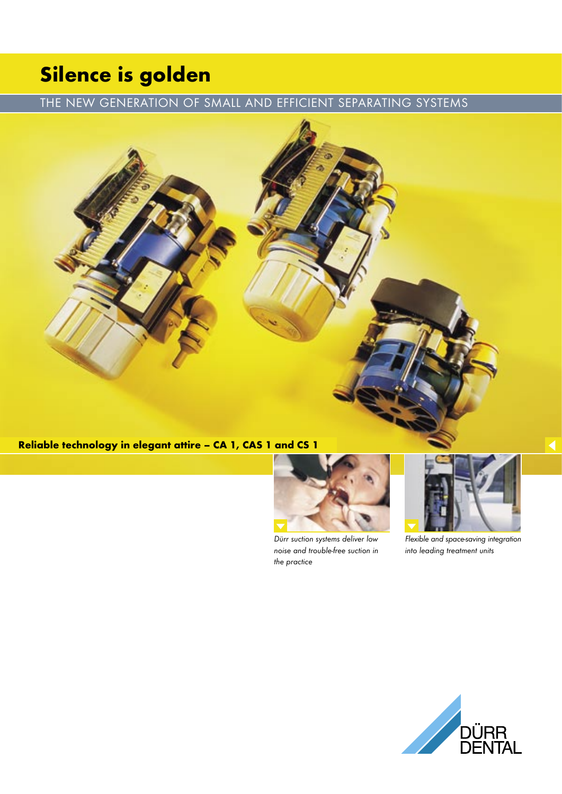# Silence is golden

## THE NEW GENERATION OF SMALL AND EFFICIENT SEPARATING SYSTEMS

## Reliable technology in elegant attire – CA 1, CAS 1 and CS 1



Dürr suction systems deliver low noise and trouble-free suction in the practice



Flexible and space-saving integration into leading treatment units

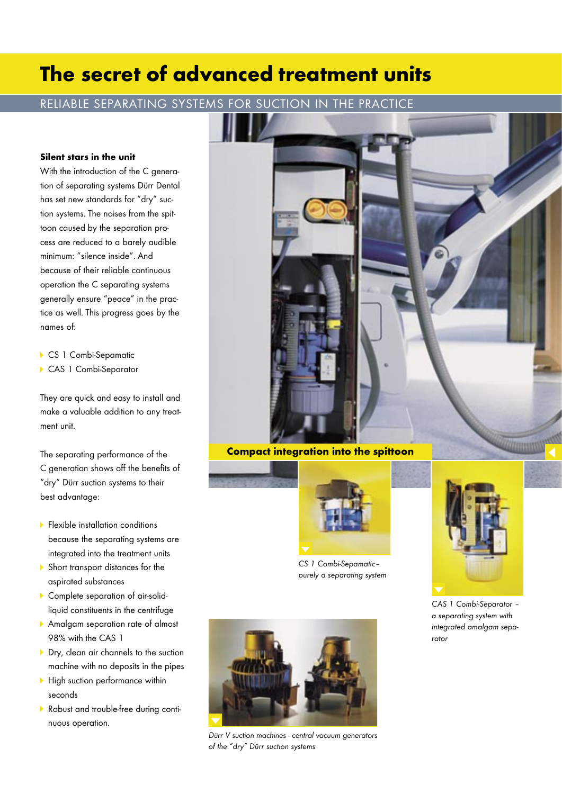## The secret of advanced treatment units

### RELIABLE SEPARATING SYSTEMS FOR SUCTION IN THE PRACTICE

#### Silent stars in the unit

With the introduction of the C generation of separating systems Dürr Dental has set new standards for "dry" suction systems. The noises from the spittoon caused by the separation process are reduced to a barely audible minimum: "silence inside". And because of their reliable continuous operation the C separating systems generally ensure "peace" in the practice as well. This progress goes by the names of:

- CS 1 Combi-Sepamatic
- CAS 1 Combi-Separator

They are quick and easy to install and make a valuable addition to any treatment unit.

The separating performance of the C generation shows off the benefits of "dry" Dürr suction systems to their best advantage:

- **Flexible installation conditions**  because the separating systems are integrated into the treatment units
- Short transport distances for the aspirated substances
- Complete separation of air-solidliquid constituents in the centrifuge
- Amalgam separation rate of almost 98% with the CAS 1
- Dry, clean air channels to the suction machine with no deposits in the pipes
- $\blacktriangleright$  High suction performance within seconds
- Robust and trouble-free during continuous operation.



#### Compact integration into the spittoon



CS 1 Combi-Sepamatic– purely a separating system



CAS 1 Combi-Separator – a separating system with integrated amalgam separator



Dürr V suction machines - central vacuum generators of the "dry" Dürr suction systems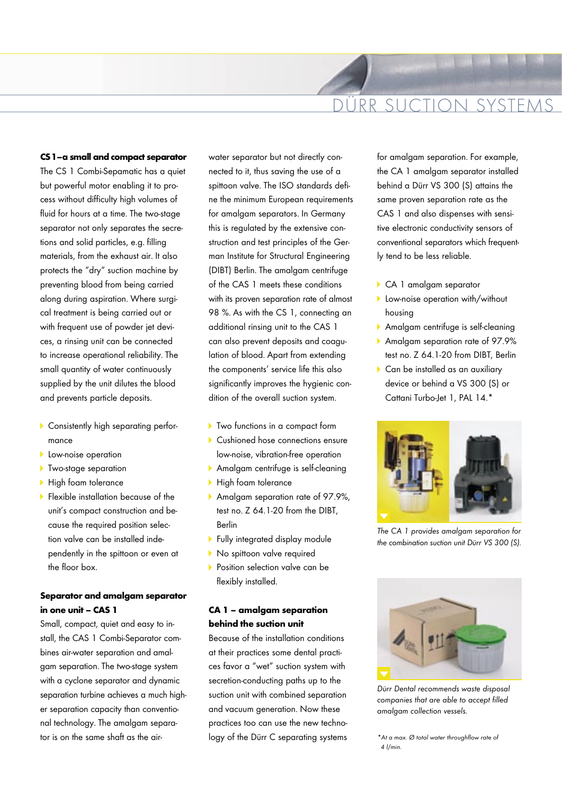## DÜRR SUCTION SYSTEMS

#### CS 1 – a small and compact separator

The CS 1 Combi-Sepamatic has a quiet but powerful motor enabling it to process without difficulty high volumes of fluid for hours at a time. The two-stage separator not only separates the secretions and solid particles, e.g. filling materials, from the exhaust air. It also protects the "dry" suction machine by preventing blood from being carried along during aspiration. Where surgical treatment is being carried out or with frequent use of powder jet devices, a rinsing unit can be connected to increase operational reliability. The small quantity of water continuously supplied by the unit dilutes the blood and prevents particle deposits.

- Consistently high separating perfor mance
- **Low-noise operation**
- **Two-stage separation**
- High foam tolerance
- **Flexible installation because of the** unit's compact construction and be cause the required position selec tion valve can be installed inde pendently in the spittoon or even at the floor box.

### Separator and amalgam separator in one unit – CAS 1

Small, compact, quiet and easy to install, the CAS 1 Combi-Separator combines air-water separation and amalgam separation. The two-stage system with a cyclone separator and dynamic separation turbine achieves a much higher separation capacity than conventional technology. The amalgam separator is on the same shaft as the airwater separator but not directly connected to it, thus saving the use of a spittoon valve. The ISO standards define the minimum European requirements for amalgam separators. In Germany this is regulated by the extensive construction and test principles of the German Institute for Structural Engineering (DIBT) Berlin. The amalgam centrifuge of the CAS 1 meets these conditions with its proven separation rate of almost 98 %. As with the CS 1, connecting an additional rinsing unit to the CAS 1 can also prevent deposits and coagulation of blood. Apart from extending the components' service life this also significantly improves the hygienic condition of the overall suction system.

- ▶ Two functions in a compact form
- Cushioned hose connections ensure low-noise, vibration-free operation
- Amalgam centrifuge is self-cleaning
- High foam tolerance
- Amalgam separation rate of 97.9%, test no. Z 64.1-20 from the DIBT, Berlin
- **Fully integrated display module**
- No spittoon valve required
- **Position selection valve can be** flexibly installed.

#### CA 1 – amalgam separation behind the suction unit

Because of the installation conditions at their practices some dental practices favor a "wet" suction system with secretion-conducting paths up to the suction unit with combined separation and vacuum generation. Now these practices too can use the new technology of the Dürr C separating systems for amalgam separation. For example, the CA 1 amalgam separator installed behind a Dürr VS 300 (S) attains the same proven separation rate as the CAS 1 and also dispenses with sensitive electronic conductivity sensors of conventional separators which frequently tend to be less reliable.

- CA 1 amalgam separator
- **Low-noise operation with/without** housing
- Amalgam centrifuge is self-cleaning
- Amalgam separation rate of 97.9% test no. Z 64.1-20 from DIBT, Berlin
- Can be installed as an auxiliary device or behind a VS 300 (S) or Cattani Turbo-Jet 1, PAL 14.\*



The CA 1 provides amalgam separation for the combination suction unit Dürr VS 300 (S).



Dürr Dental recommends waste disposal companies that are able to accept filled amalgam collection vessels.

<sup>\*</sup>At a max. Ø total water throughflow rate of 4 l/min.